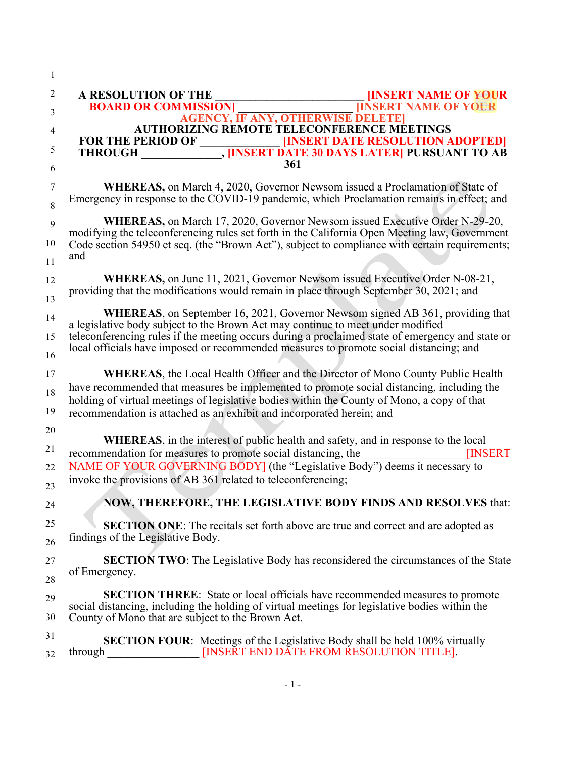**A RESOLUTION OF THE THE THE PROPERT NAME OF YOUR<br>BOARD OR COMMISSION FOUR FINSERT NAME OF YOUR BOARD OR COMMISSION] \_\_\_\_\_\_\_\_\_\_\_\_\_\_\_\_\_\_\_\_ [INSERT NAME OF YOUR AGENCY, IF ANY, OTHERWISE DELETE]** AUTHORIZING REMOTE TELECONFERENCE MEETINGS<br>**FOR THE PERIOD OF INSERT DATE RESOLUTION A FOR THE PERIOD OF \_\_\_\_\_\_\_\_\_\_\_\_\_\_ [INSERT DATE RESOLUTION ADOPTED] THROUGHT AND ISSUED ASSESSED ASSESSED AT A PURSUANT TO AB 361**

16 17

30 31 32

**WHEREAS,** on March 4, 2020, Governor Newsom issued a Proclamation of State of Emergency in response to the COVID-19 pandemic, which Proclamation remains in effect; and

**WHEREAS,** on March 17, 2020, Governor Newsom issued Executive Order N-29-20, modifying the teleconferencing rules set forth in the California Open Meeting law, Government Code section 54950 et seq. (the "Brown Act"), subject to compliance with certain requirements; and

**WHEREAS,** on June 11, 2021, Governor Newsom issued Executive Order N-08-21, providing that the modifications would remain in place through September 30, 2021; and

**WHEREAS**, on September 16, 2021, Governor Newsom signed AB 361, providing that a legislative body subject to the Brown Act may continue to meet under modified teleconferencing rules if the meeting occurs during a proclaimed state of emergency and state or local officials have imposed or recommended measures to promote social distancing; and

**WHEREAS**, the Local Health Officer and the Director of Mono County Public Health have recommended that measures be implemented to promote social distancing, including the holding of virtual meetings of legislative bodies within the County of Mono, a copy of that recommendation is attached as an exhibit and incorporated herein; and

**WHEREAS**, in the interest of public health and safety, and in response to the local recommendation for measures to promote social distancing, the **INSERT** NAME OF YOUR GOVERNING BODY] (the "Legislative Body") deems it necessary to invoke the provisions of AB 361 related to teleconferencing;

**NOW, THEREFORE, THE LEGISLATIVE BODY FINDS AND RESOLVES** that:

**SECTION ONE**: The recitals set forth above are true and correct and are adopted as findings of the Legislative Body.

**SECTION TWO**: The Legislative Body has reconsidered the circumstances of the State of Emergency.

**SECTION THREE**: State or local officials have recommended measures to promote social distancing, including the holding of virtual meetings for legislative bodies within the County of Mono that are subject to the Brown Act.

**SECTION FOUR:** Meetings of the Legislative Body shall be held 100% virtually through **INSERT END DATE FROM RESOLUTION TITLE**.